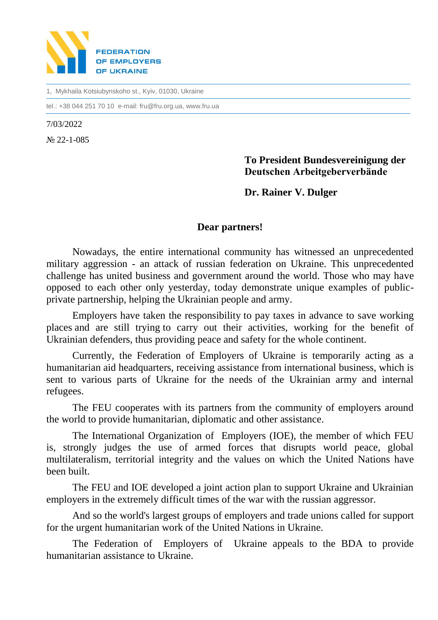

1, Mykhaila Kotsiubynskoho st., Kyiv, 01030, Ukraine

tel.: +38 044 251 70 10 e-mail: fru@fru.org.ua, www.fru.ua

7/03/2022

№ 22-1-085

## **To President Bundesvereinigung der Deutschen Arbeitgeberverbände**

**Dr. Rainer V. Dulger**

## **Dear partners!**

Nowadays, the entire international community has witnessed an unprecedented military aggression - an attack of russian federation on Ukraine. This unprecedented challenge has united business and government around the world. Those who may have opposed to each other only yesterday, today demonstrate unique examples of publicprivate partnership, helping the Ukrainian people and army.

Employers have taken the responsibility to pay taxes in advance to save working places and are still trying to carry out their activities, working for the benefit of Ukrainian defenders, thus providing peace and safety for the whole continent.

Currently, the Federation of Employers of Ukraine is temporarily acting as a humanitarian aid headquarters, receiving assistance from international business, which is sent to various parts of Ukraine for the needs of the Ukrainian army and internal refugees.

The FEU cooperates with its partners from the community of employers around the world to provide humanitarian, diplomatic and other assistance.

The International Organization of Employers (IOE), the member of which FEU is, strongly judges the use of armed forces that disrupts world peace, global multilateralism, territorial integrity and the values on which the United Nations have been built.

The FEU and IOE developed a joint action plan to support Ukraine and Ukrainian employers in the extremely difficult times of the war with the russian aggressor.

And so the world's largest groups of employers and trade unions called for support for the urgent humanitarian work of the United Nations in Ukraine.

The Federation of Employers of Ukraine appeals to the BDA to provide humanitarian assistance to Ukraine.